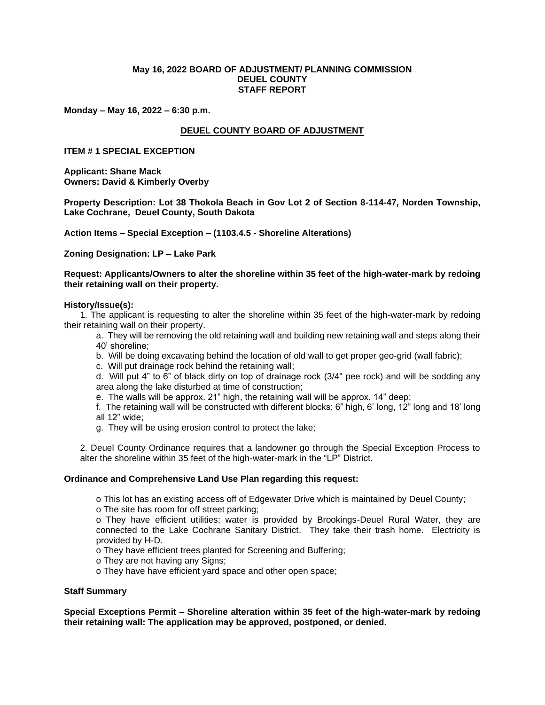## **May 16, 2022 BOARD OF ADJUSTMENT/ PLANNING COMMISSION DEUEL COUNTY STAFF REPORT**

**Monday – May 16, 2022 – 6:30 p.m.**

# **DEUEL COUNTY BOARD OF ADJUSTMENT**

### **ITEM # 1 SPECIAL EXCEPTION**

**Applicant: Shane Mack Owners: David & Kimberly Overby**

**Property Description: Lot 38 Thokola Beach in Gov Lot 2 of Section 8-114-47, Norden Township, Lake Cochrane, Deuel County, South Dakota**

**Action Items – Special Exception – (1103.4.5 - Shoreline Alterations)**

**Zoning Designation: LP – Lake Park**

**Request: Applicants/Owners to alter the shoreline within 35 feet of the high-water-mark by redoing their retaining wall on their property.**

### **History/Issue(s):**

1. The applicant is requesting to alter the shoreline within 35 feet of the high-water-mark by redoing their retaining wall on their property.

a. They will be removing the old retaining wall and building new retaining wall and steps along their 40' shoreline;

b. Will be doing excavating behind the location of old wall to get proper geo-grid (wall fabric);

c. Will put drainage rock behind the retaining wall;

d. Will put 4" to 6" of black dirty on top of drainage rock (3/4" pee rock) and will be sodding any area along the lake disturbed at time of construction;

e. The walls will be approx. 21" high, the retaining wall will be approx. 14" deep;

f. The retaining wall will be constructed with different blocks: 6" high, 6' long, 12" long and 18' long all 12" wide;

g. They will be using erosion control to protect the lake;

2. Deuel County Ordinance requires that a landowner go through the Special Exception Process to alter the shoreline within 35 feet of the high-water-mark in the "LP" District.

#### **Ordinance and Comprehensive Land Use Plan regarding this request:**

o This lot has an existing access off of Edgewater Drive which is maintained by Deuel County;

o The site has room for off street parking;

o They have efficient utilities; water is provided by Brookings-Deuel Rural Water, they are connected to the Lake Cochrane Sanitary District. They take their trash home. Electricity is provided by H-D.

o They have efficient trees planted for Screening and Buffering;

o They are not having any Signs;

o They have have efficient yard space and other open space;

## **Staff Summary**

**Special Exceptions Permit – Shoreline alteration within 35 feet of the high-water-mark by redoing their retaining wall: The application may be approved, postponed, or denied.**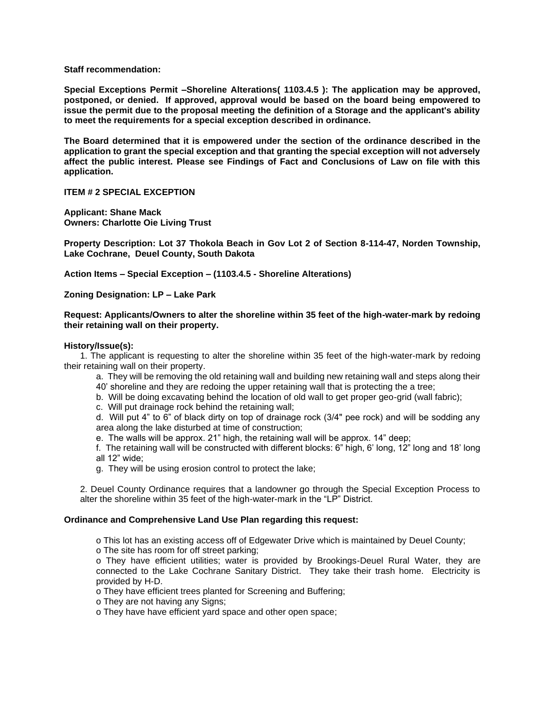**Staff recommendation:** 

**Special Exceptions Permit –Shoreline Alterations( 1103.4.5 ): The application may be approved, postponed, or denied. If approved, approval would be based on the board being empowered to issue the permit due to the proposal meeting the definition of a Storage and the applicant's ability to meet the requirements for a special exception described in ordinance.** 

**The Board determined that it is empowered under the section of the ordinance described in the application to grant the special exception and that granting the special exception will not adversely affect the public interest. Please see Findings of Fact and Conclusions of Law on file with this application.**

**ITEM # 2 SPECIAL EXCEPTION**

**Applicant: Shane Mack Owners: Charlotte Oie Living Trust**

**Property Description: Lot 37 Thokola Beach in Gov Lot 2 of Section 8-114-47, Norden Township, Lake Cochrane, Deuel County, South Dakota**

**Action Items – Special Exception – (1103.4.5 - Shoreline Alterations)**

**Zoning Designation: LP – Lake Park**

### **Request: Applicants/Owners to alter the shoreline within 35 feet of the high-water-mark by redoing their retaining wall on their property.**

### **History/Issue(s):**

1. The applicant is requesting to alter the shoreline within 35 feet of the high-water-mark by redoing their retaining wall on their property.

- a. They will be removing the old retaining wall and building new retaining wall and steps along their 40' shoreline and they are redoing the upper retaining wall that is protecting the a tree;
- b. Will be doing excavating behind the location of old wall to get proper geo-grid (wall fabric);
- c. Will put drainage rock behind the retaining wall;

d. Will put 4" to 6" of black dirty on top of drainage rock (3/4" pee rock) and will be sodding any area along the lake disturbed at time of construction;

e. The walls will be approx. 21" high, the retaining wall will be approx. 14" deep;

f. The retaining wall will be constructed with different blocks: 6" high, 6' long, 12" long and 18' long all 12" wide;

g. They will be using erosion control to protect the lake;

2. Deuel County Ordinance requires that a landowner go through the Special Exception Process to alter the shoreline within 35 feet of the high-water-mark in the "LP" District.

## **Ordinance and Comprehensive Land Use Plan regarding this request:**

o This lot has an existing access off of Edgewater Drive which is maintained by Deuel County;

o The site has room for off street parking;

o They have efficient utilities; water is provided by Brookings-Deuel Rural Water, they are connected to the Lake Cochrane Sanitary District. They take their trash home. Electricity is provided by H-D.

o They have efficient trees planted for Screening and Buffering;

o They are not having any Signs;

o They have have efficient yard space and other open space;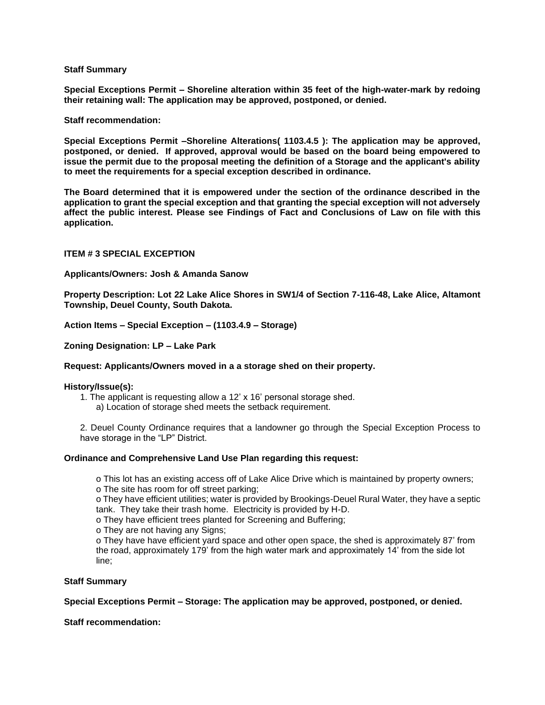## **Staff Summary**

**Special Exceptions Permit – Shoreline alteration within 35 feet of the high-water-mark by redoing their retaining wall: The application may be approved, postponed, or denied.** 

### **Staff recommendation:**

**Special Exceptions Permit –Shoreline Alterations( 1103.4.5 ): The application may be approved, postponed, or denied. If approved, approval would be based on the board being empowered to issue the permit due to the proposal meeting the definition of a Storage and the applicant's ability to meet the requirements for a special exception described in ordinance.** 

**The Board determined that it is empowered under the section of the ordinance described in the application to grant the special exception and that granting the special exception will not adversely affect the public interest. Please see Findings of Fact and Conclusions of Law on file with this application.**

## **ITEM # 3 SPECIAL EXCEPTION**

### **Applicants/Owners: Josh & Amanda Sanow**

**Property Description: Lot 22 Lake Alice Shores in SW1/4 of Section 7-116-48, Lake Alice, Altamont Township, Deuel County, South Dakota.**

**Action Items – Special Exception – (1103.4.9 – Storage)**

**Zoning Designation: LP – Lake Park**

#### **Request: Applicants/Owners moved in a a storage shed on their property.**

#### **History/Issue(s):**

1. The applicant is requesting allow a 12' x 16' personal storage shed. a) Location of storage shed meets the setback requirement.

2. Deuel County Ordinance requires that a landowner go through the Special Exception Process to have storage in the "LP" District.

## **Ordinance and Comprehensive Land Use Plan regarding this request:**

o This lot has an existing access off of Lake Alice Drive which is maintained by property owners; o The site has room for off street parking;

o They have efficient utilities; water is provided by Brookings-Deuel Rural Water, they have a septic tank. They take their trash home. Electricity is provided by H-D.

o They have efficient trees planted for Screening and Buffering;

o They are not having any Signs;

o They have have efficient yard space and other open space, the shed is approximately 87' from the road, approximately 179' from the high water mark and approximately 14' from the side lot line;

## **Staff Summary**

**Special Exceptions Permit – Storage: The application may be approved, postponed, or denied.** 

**Staff recommendation:**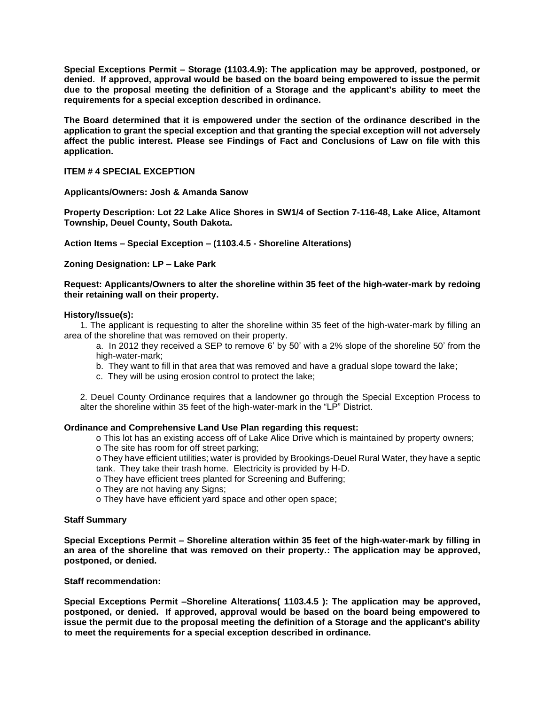**Special Exceptions Permit – Storage (1103.4.9): The application may be approved, postponed, or denied. If approved, approval would be based on the board being empowered to issue the permit due to the proposal meeting the definition of a Storage and the applicant's ability to meet the requirements for a special exception described in ordinance.** 

**The Board determined that it is empowered under the section of the ordinance described in the application to grant the special exception and that granting the special exception will not adversely affect the public interest. Please see Findings of Fact and Conclusions of Law on file with this application.**

### **ITEM # 4 SPECIAL EXCEPTION**

**Applicants/Owners: Josh & Amanda Sanow**

**Property Description: Lot 22 Lake Alice Shores in SW1/4 of Section 7-116-48, Lake Alice, Altamont Township, Deuel County, South Dakota.**

**Action Items – Special Exception – (1103.4.5 - Shoreline Alterations)**

**Zoning Designation: LP – Lake Park**

**Request: Applicants/Owners to alter the shoreline within 35 feet of the high-water-mark by redoing their retaining wall on their property.**

### **History/Issue(s):**

1. The applicant is requesting to alter the shoreline within 35 feet of the high-water-mark by filling an area of the shoreline that was removed on their property.

- a. In 2012 they received a SEP to remove 6' by 50' with a 2% slope of the shoreline 50' from the high-water-mark;
- b. They want to fill in that area that was removed and have a gradual slope toward the lake;
- c. They will be using erosion control to protect the lake;

2. Deuel County Ordinance requires that a landowner go through the Special Exception Process to alter the shoreline within 35 feet of the high-water-mark in the "LP" District.

#### **Ordinance and Comprehensive Land Use Plan regarding this request:**

o This lot has an existing access off of Lake Alice Drive which is maintained by property owners;

o The site has room for off street parking;

o They have efficient utilities; water is provided by Brookings-Deuel Rural Water, they have a septic tank. They take their trash home. Electricity is provided by H-D.

- o They have efficient trees planted for Screening and Buffering;
- o They are not having any Signs;

o They have have efficient yard space and other open space;

#### **Staff Summary**

**Special Exceptions Permit – Shoreline alteration within 35 feet of the high-water-mark by filling in an area of the shoreline that was removed on their property.: The application may be approved, postponed, or denied.** 

**Staff recommendation:** 

**Special Exceptions Permit –Shoreline Alterations( 1103.4.5 ): The application may be approved, postponed, or denied. If approved, approval would be based on the board being empowered to issue the permit due to the proposal meeting the definition of a Storage and the applicant's ability to meet the requirements for a special exception described in ordinance.**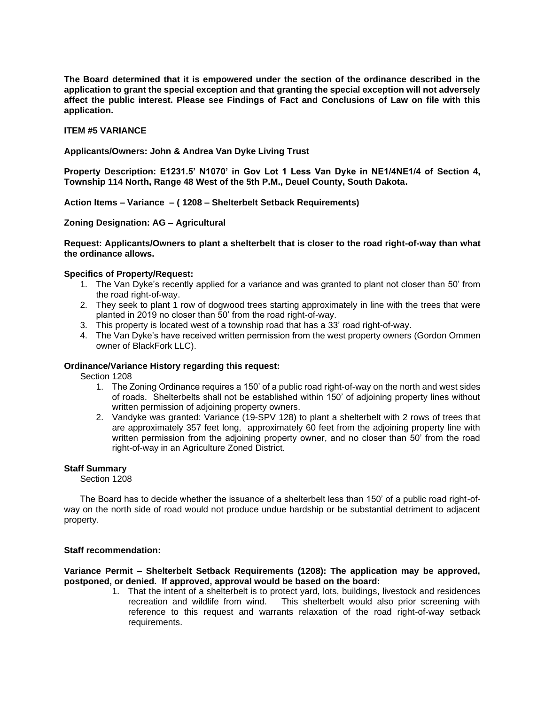**The Board determined that it is empowered under the section of the ordinance described in the application to grant the special exception and that granting the special exception will not adversely affect the public interest. Please see Findings of Fact and Conclusions of Law on file with this application.**

### **ITEM #5 VARIANCE**

**Applicants/Owners: John & Andrea Van Dyke Living Trust**

**Property Description: E1231.5' N1070' in Gov Lot 1 Less Van Dyke in NE1/4NE1/4 of Section 4, Township 114 North, Range 48 West of the 5th P.M., Deuel County, South Dakota.**

**Action Items – Variance – ( 1208 – Shelterbelt Setback Requirements)**

**Zoning Designation: AG – Agricultural**

**Request: Applicants/Owners to plant a shelterbelt that is closer to the road right-of-way than what the ordinance allows.**

## **Specifics of Property/Request:**

- 1. The Van Dyke's recently applied for a variance and was granted to plant not closer than 50' from the road right-of-way.
- 2. They seek to plant 1 row of dogwood trees starting approximately in line with the trees that were planted in 2019 no closer than 50' from the road right-of-way.
- 3. This property is located west of a township road that has a 33' road right-of-way.
- 4. The Van Dyke's have received written permission from the west property owners (Gordon Ommen owner of BlackFork LLC).

### **Ordinance/Variance History regarding this request:**

Section 1208

- 1. The Zoning Ordinance requires a 150' of a public road right-of-way on the north and west sides of roads. Shelterbelts shall not be established within 150' of adjoining property lines without written permission of adjoining property owners.
- 2. Vandyke was granted: Variance (19-SPV 128) to plant a shelterbelt with 2 rows of trees that are approximately 357 feet long, approximately 60 feet from the adjoining property line with written permission from the adjoining property owner, and no closer than 50' from the road right-of-way in an Agriculture Zoned District.

#### **Staff Summary**

Section 1208

The Board has to decide whether the issuance of a shelterbelt less than 150' of a public road right-ofway on the north side of road would not produce undue hardship or be substantial detriment to adjacent property.

#### **Staff recommendation:**

**Variance Permit – Shelterbelt Setback Requirements (1208): The application may be approved, postponed, or denied. If approved, approval would be based on the board:** 

> 1. That the intent of a shelterbelt is to protect yard, lots, buildings, livestock and residences This shelterbelt would also prior screening with. reference to this request and warrants relaxation of the road right-of-way setback requirements.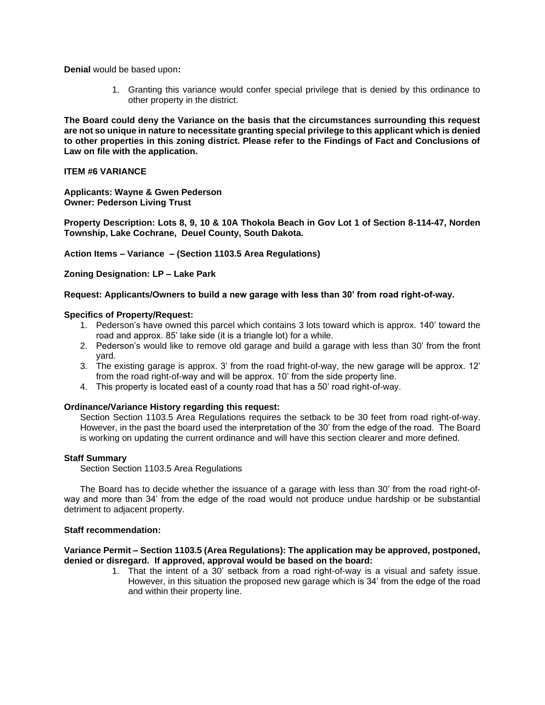**Denial** would be based upon**:**

1. Granting this variance would confer special privilege that is denied by this ordinance to other property in the district.

**The Board could deny the Variance on the basis that the circumstances surrounding this request are not so unique in nature to necessitate granting special privilege to this applicant which is denied to other properties in this zoning district. Please refer to the Findings of Fact and Conclusions of Law on file with the application.**

## **ITEM #6 VARIANCE**

**Applicants: Wayne & Gwen Pederson Owner: Pederson Living Trust**

**Property Description: Lots 8, 9, 10 & 10A Thokola Beach in Gov Lot 1 of Section 8-114-47, Norden Township, Lake Cochrane, Deuel County, South Dakota.**

**Action Items – Variance – (Section 1103.5 Area Regulations)**

**Zoning Designation: LP – Lake Park**

### **Request: Applicants/Owners to build a new garage with less than 30' from road right-of-way.**

### **Specifics of Property/Request:**

- 1. Pederson's have owned this parcel which contains 3 lots toward which is approx. 140' toward the road and approx. 85' lake side (it is a triangle lot) for a while.
- 2. Pederson's would like to remove old garage and build a garage with less than 30' from the front yard.
- 3. The existing garage is approx. 3' from the road fright-of-way, the new garage will be approx. 12' from the road right-of-way and will be approx. 10' from the side property line.
- 4. This property is located east of a county road that has a 50' road right-of-way.

## **Ordinance/Variance History regarding this request:**

Section Section 1103.5 Area Regulations requires the setback to be 30 feet from road right-of-way. However, in the past the board used the interpretation of the 30' from the edge of the road. The Board is working on updating the current ordinance and will have this section clearer and more defined.

## **Staff Summary**

Section Section 1103.5 Area Regulations

The Board has to decide whether the issuance of a garage with less than 30' from the road right-ofway and more than 34' from the edge of the road would not produce undue hardship or be substantial detriment to adjacent property.

### **Staff recommendation:**

### **Variance Permit – Section 1103.5 (Area Regulations): The application may be approved, postponed, denied or disregard. If approved, approval would be based on the board:**

1. That the intent of a 30' setback from a road right-of-way is a visual and safety issue. However, in this situation the proposed new garage which is 34' from the edge of the road and within their property line.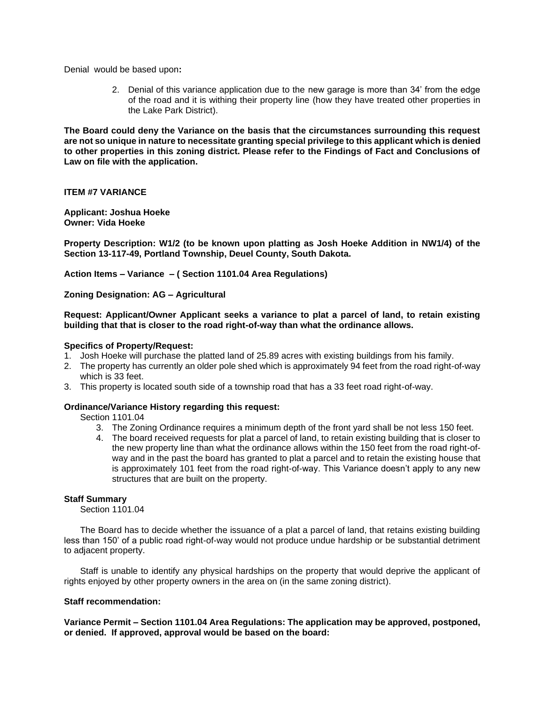Denialwould be based upon**:**

2. Denial of this variance application due to the new garage is more than 34' from the edge of the road and it is withing their property line (how they have treated other properties in the Lake Park District).

**The Board could deny the Variance on the basis that the circumstances surrounding this request are not so unique in nature to necessitate granting special privilege to this applicant which is denied to other properties in this zoning district. Please refer to the Findings of Fact and Conclusions of Law on file with the application.**

**ITEM #7 VARIANCE**

**Applicant: Joshua Hoeke Owner: Vida Hoeke**

**Property Description: W1/2 (to be known upon platting as Josh Hoeke Addition in NW1/4) of the Section 13-117-49, Portland Township, Deuel County, South Dakota.**

**Action Items – Variance – ( Section 1101.04 Area Regulations)**

**Zoning Designation: AG – Agricultural**

**Request: Applicant/Owner Applicant seeks a variance to plat a parcel of land, to retain existing building that that is closer to the road right-of-way than what the ordinance allows.**

### **Specifics of Property/Request:**

- 1. Josh Hoeke will purchase the platted land of 25.89 acres with existing buildings from his family.
- 2. The property has currently an older pole shed which is approximately 94 feet from the road right-of-way which is 33 feet.
- 3. This property is located south side of a township road that has a 33 feet road right-of-way.

## **Ordinance/Variance History regarding this request:**

Section 1101.04

- 3. The Zoning Ordinance requires a minimum depth of the front yard shall be not less 150 feet.
- 4. The board received requests for plat a parcel of land, to retain existing building that is closer to the new property line than what the ordinance allows within the 150 feet from the road right-ofway and in the past the board has granted to plat a parcel and to retain the existing house that is approximately 101 feet from the road right-of-way. This Variance doesn't apply to any new structures that are built on the property.

#### **Staff Summary**

Section 1101.04

The Board has to decide whether the issuance of a plat a parcel of land, that retains existing building less than 150' of a public road right-of-way would not produce undue hardship or be substantial detriment to adjacent property.

Staff is unable to identify any physical hardships on the property that would deprive the applicant of rights enjoyed by other property owners in the area on (in the same zoning district).

#### **Staff recommendation:**

**Variance Permit – Section 1101.04 Area Regulations: The application may be approved, postponed, or denied. If approved, approval would be based on the board:**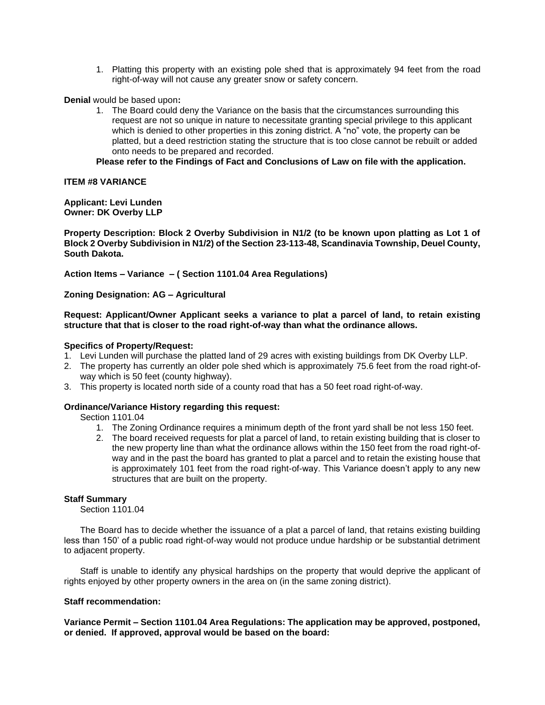1. Platting this property with an existing pole shed that is approximately 94 feet from the road right-of-way will not cause any greater snow or safety concern.

**Denial** would be based upon**:**

1. The Board could deny the Variance on the basis that the circumstances surrounding this request are not so unique in nature to necessitate granting special privilege to this applicant which is denied to other properties in this zoning district. A "no" vote, the property can be platted, but a deed restriction stating the structure that is too close cannot be rebuilt or added onto needs to be prepared and recorded.

**Please refer to the Findings of Fact and Conclusions of Law on file with the application.**

### **ITEM #8 VARIANCE**

#### **Applicant: Levi Lunden Owner: DK Overby LLP**

**Property Description: Block 2 Overby Subdivision in N1/2 (to be known upon platting as Lot 1 of Block 2 Overby Subdivision in N1/2) of the Section 23-113-48, Scandinavia Township, Deuel County, South Dakota.**

**Action Items – Variance – ( Section 1101.04 Area Regulations)**

### **Zoning Designation: AG – Agricultural**

### **Request: Applicant/Owner Applicant seeks a variance to plat a parcel of land, to retain existing structure that that is closer to the road right-of-way than what the ordinance allows.**

### **Specifics of Property/Request:**

- 1. Levi Lunden will purchase the platted land of 29 acres with existing buildings from DK Overby LLP.
- 2. The property has currently an older pole shed which is approximately 75.6 feet from the road right-ofway which is 50 feet (county highway).
- 3. This property is located north side of a county road that has a 50 feet road right-of-way.

## **Ordinance/Variance History regarding this request:**

Section 1101.04

- 1. The Zoning Ordinance requires a minimum depth of the front yard shall be not less 150 feet.
- 2. The board received requests for plat a parcel of land, to retain existing building that is closer to the new property line than what the ordinance allows within the 150 feet from the road right-ofway and in the past the board has granted to plat a parcel and to retain the existing house that is approximately 101 feet from the road right-of-way. This Variance doesn't apply to any new structures that are built on the property.

#### **Staff Summary**

Section 1101.04

The Board has to decide whether the issuance of a plat a parcel of land, that retains existing building less than 150' of a public road right-of-way would not produce undue hardship or be substantial detriment to adjacent property.

Staff is unable to identify any physical hardships on the property that would deprive the applicant of rights enjoyed by other property owners in the area on (in the same zoning district).

#### **Staff recommendation:**

**Variance Permit – Section 1101.04 Area Regulations: The application may be approved, postponed, or denied. If approved, approval would be based on the board:**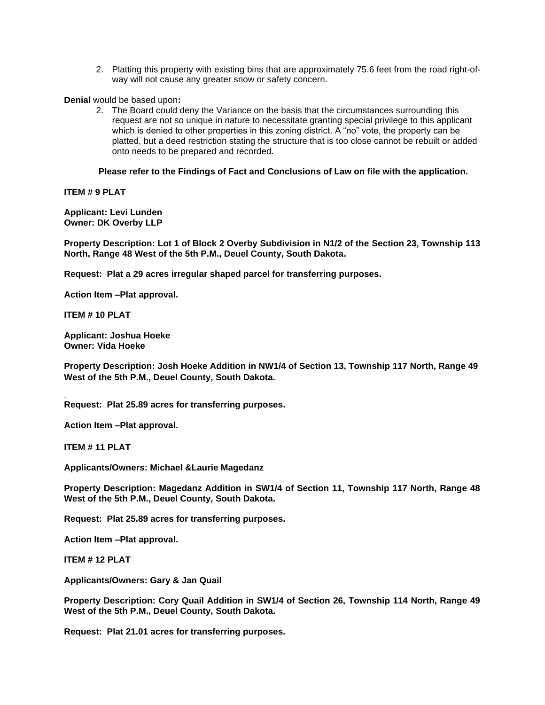2. Platting this property with existing bins that are approximately 75.6 feet from the road right-ofway will not cause any greater snow or safety concern.

**Denial** would be based upon**:**

2. The Board could deny the Variance on the basis that the circumstances surrounding this request are not so unique in nature to necessitate granting special privilege to this applicant which is denied to other properties in this zoning district. A "no" vote, the property can be platted, but a deed restriction stating the structure that is too close cannot be rebuilt or added onto needs to be prepared and recorded.

**Please refer to the Findings of Fact and Conclusions of Law on file with the application.**

**ITEM # 9 PLAT**

**Applicant: Levi Lunden Owner: DK Overby LLP**

**Property Description: Lot 1 of Block 2 Overby Subdivision in N1/2 of the Section 23, Township 113 North, Range 48 West of the 5th P.M., Deuel County, South Dakota.**

**Request: Plat a 29 acres irregular shaped parcel for transferring purposes.** 

**Action Item –Plat approval.**

**ITEM # 10 PLAT**

**Applicant: Joshua Hoeke Owner: Vida Hoeke**

**Property Description: Josh Hoeke Addition in NW1/4 of Section 13, Township 117 North, Range 49 West of the 5th P.M., Deuel County, South Dakota.**

**Request: Plat 25.89 acres for transferring purposes.** 

**Action Item –Plat approval.**

**ITEM # 11 PLAT**

.

**Applicants/Owners: Michael &Laurie Magedanz**

**Property Description: Magedanz Addition in SW1/4 of Section 11, Township 117 North, Range 48 West of the 5th P.M., Deuel County, South Dakota.**

**Request: Plat 25.89 acres for transferring purposes.** 

**Action Item –Plat approval.**

**ITEM # 12 PLAT**

**Applicants/Owners: Gary & Jan Quail**

**Property Description: Cory Quail Addition in SW1/4 of Section 26, Township 114 North, Range 49 West of the 5th P.M., Deuel County, South Dakota.**

**Request: Plat 21.01 acres for transferring purposes.**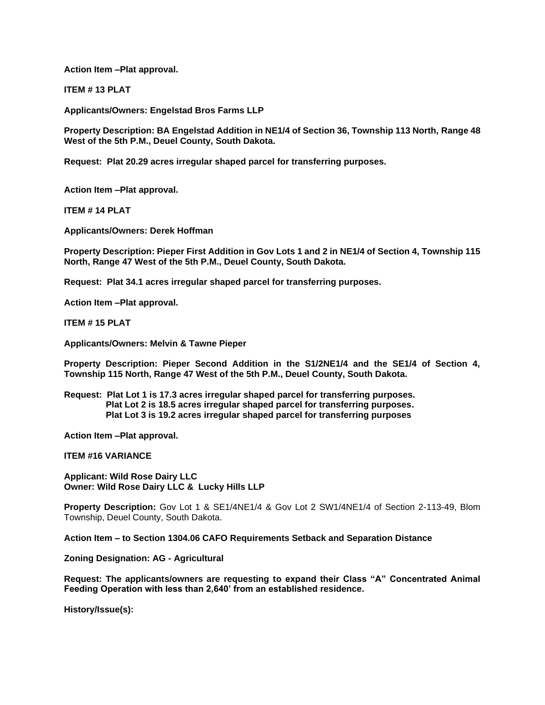**Action Item –Plat approval.**

**ITEM # 13 PLAT**

**Applicants/Owners: Engelstad Bros Farms LLP**

**Property Description: BA Engelstad Addition in NE1/4 of Section 36, Township 113 North, Range 48 West of the 5th P.M., Deuel County, South Dakota.**

**Request: Plat 20.29 acres irregular shaped parcel for transferring purposes.** 

**Action Item –Plat approval.**

**ITEM # 14 PLAT**

**Applicants/Owners: Derek Hoffman**

**Property Description: Pieper First Addition in Gov Lots 1 and 2 in NE1/4 of Section 4, Township 115 North, Range 47 West of the 5th P.M., Deuel County, South Dakota.**

**Request: Plat 34.1 acres irregular shaped parcel for transferring purposes.** 

**Action Item –Plat approval.**

**ITEM # 15 PLAT**

**Applicants/Owners: Melvin & Tawne Pieper**

**Property Description: Pieper Second Addition in the S1/2NE1/4 and the SE1/4 of Section 4, Township 115 North, Range 47 West of the 5th P.M., Deuel County, South Dakota.**

**Request: Plat Lot 1 is 17.3 acres irregular shaped parcel for transferring purposes. Plat Lot 2 is 18.5 acres irregular shaped parcel for transferring purposes. Plat Lot 3 is 19.2 acres irregular shaped parcel for transferring purposes**

**Action Item –Plat approval.**

**ITEM #16 VARIANCE**

**Applicant: Wild Rose Dairy LLC Owner: Wild Rose Dairy LLC & Lucky Hills LLP**

**Property Description:** Gov Lot 1 & SE1/4NE1/4 & Gov Lot 2 SW1/4NE1/4 of Section 2-113-49, Blom Township, Deuel County, South Dakota.

**Action Item – to Section 1304.06 CAFO Requirements Setback and Separation Distance**

**Zoning Designation: AG - Agricultural** 

**Request: The applicants/owners are requesting to expand their Class "A" Concentrated Animal Feeding Operation with less than 2,640' from an established residence.** 

**History/Issue(s):**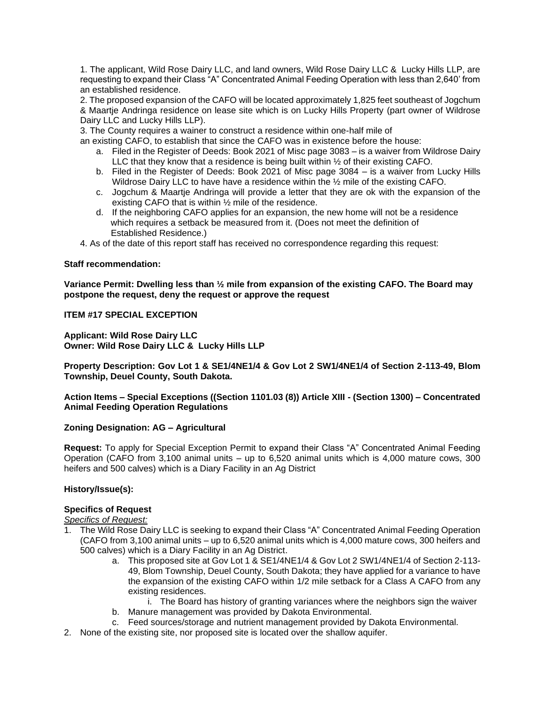1. The applicant, Wild Rose Dairy LLC, and land owners, Wild Rose Dairy LLC & Lucky Hills LLP, are requesting to expand their Class "A" Concentrated Animal Feeding Operation with less than 2,640' from an established residence.

2. The proposed expansion of the CAFO will be located approximately 1,825 feet southeast of Jogchum & Maartje Andringa residence on lease site which is on Lucky Hills Property (part owner of Wildrose Dairy LLC and Lucky Hills LLP).

3. The County requires a wainer to construct a residence within one-half mile of

an existing CAFO, to establish that since the CAFO was in existence before the house:

- a. Filed in the Register of Deeds: Book 2021 of Misc page 3083 is a waiver from Wildrose Dairy LLC that they know that a residence is being built within ½ of their existing CAFO.
- b. Filed in the Register of Deeds: Book 2021 of Misc page 3084 is a waiver from Lucky Hills Wildrose Dairy LLC to have have a residence within the  $\frac{1}{2}$  mile of the existing CAFO.
- c. Jogchum & Maartje Andringa will provide a letter that they are ok with the expansion of the existing CAFO that is within ½ mile of the residence.
- d. If the neighboring CAFO applies for an expansion, the new home will not be a residence which requires a setback be measured from it. (Does not meet the definition of Established Residence.)
- 4. As of the date of this report staff has received no correspondence regarding this request:

## **Staff recommendation:**

**Variance Permit: Dwelling less than ½ mile from expansion of the existing CAFO. The Board may postpone the request, deny the request or approve the request**

# **ITEM #17 SPECIAL EXCEPTION**

**Applicant: Wild Rose Dairy LLC Owner: Wild Rose Dairy LLC & Lucky Hills LLP**

**Property Description: Gov Lot 1 & SE1/4NE1/4 & Gov Lot 2 SW1/4NE1/4 of Section 2-113-49, Blom Township, Deuel County, South Dakota.**

**Action Items – Special Exceptions ((Section 1101.03 (8)) Article XIII - (Section 1300) – Concentrated Animal Feeding Operation Regulations** 

## **Zoning Designation: AG – Agricultural**

**Request:** To apply for Special Exception Permit to expand their Class "A" Concentrated Animal Feeding Operation (CAFO from 3,100 animal units – up to 6,520 animal units which is 4,000 mature cows, 300 heifers and 500 calves) which is a Diary Facility in an Ag District

## **History/Issue(s):**

## **Specifics of Request**

*Specifics of Request:*

- 1. The Wild Rose Dairy LLC is seeking to expand their Class "A" Concentrated Animal Feeding Operation (CAFO from 3,100 animal units – up to 6,520 animal units which is 4,000 mature cows, 300 heifers and 500 calves) which is a Diary Facility in an Ag District.
	- a. This proposed site at Gov Lot 1 & SE1/4NE1/4 & Gov Lot 2 SW1/4NE1/4 of Section 2-113- 49, Blom Township, Deuel County, South Dakota; they have applied for a variance to have the expansion of the existing CAFO within 1/2 mile setback for a Class A CAFO from any existing residences.
	- i. The Board has history of granting variances where the neighbors sign the waiver b. Manure management was provided by Dakota Environmental.
	- c. Feed sources/storage and nutrient management provided by Dakota Environmental.
- 2. None of the existing site, nor proposed site is located over the shallow aquifer.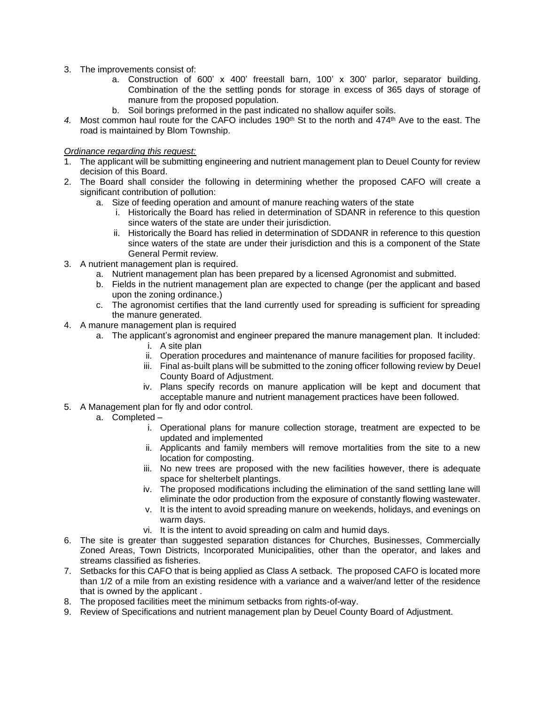- 3. The improvements consist of:
	- a. Construction of 600' x 400' freestall barn, 100' x 300' parlor, separator building. Combination of the the settling ponds for storage in excess of 365 days of storage of manure from the proposed population.
	- b. Soil borings preformed in the past indicated no shallow aquifer soils.
- 4. Most common haul route for the CAFO includes 190<sup>th</sup> St to the north and 474<sup>th</sup> Ave to the east. The road is maintained by Blom Township.

## *Ordinance regarding this request:*

- 1. The applicant will be submitting engineering and nutrient management plan to Deuel County for review decision of this Board.
- 2. The Board shall consider the following in determining whether the proposed CAFO will create a significant contribution of pollution:
	- a. Size of feeding operation and amount of manure reaching waters of the state
		- i. Historically the Board has relied in determination of SDANR in reference to this question since waters of the state are under their jurisdiction.
		- ii. Historically the Board has relied in determination of SDDANR in reference to this question since waters of the state are under their jurisdiction and this is a component of the State General Permit review.
- 3. A nutrient management plan is required.
	- a. Nutrient management plan has been prepared by a licensed Agronomist and submitted.
	- b. Fields in the nutrient management plan are expected to change (per the applicant and based upon the zoning ordinance.)
	- c. The agronomist certifies that the land currently used for spreading is sufficient for spreading the manure generated.
- 4. A manure management plan is required
	- a. The applicant's agronomist and engineer prepared the manure management plan. It included:
		- i. A site plan
		- ii. Operation procedures and maintenance of manure facilities for proposed facility.
		- iii. Final as-built plans will be submitted to the zoning officer following review by Deuel County Board of Adjustment.
		- iv. Plans specify records on manure application will be kept and document that acceptable manure and nutrient management practices have been followed.
- 5. A Management plan for fly and odor control.
	- a. Completed
		- i. Operational plans for manure collection storage, treatment are expected to be updated and implemented
		- ii. Applicants and family members will remove mortalities from the site to a new location for composting.
		- iii. No new trees are proposed with the new facilities however, there is adequate space for shelterbelt plantings.
		- iv. The proposed modifications including the elimination of the sand settling lane will eliminate the odor production from the exposure of constantly flowing wastewater.
		- v. It is the intent to avoid spreading manure on weekends, holidays, and evenings on warm days.
		- vi. It is the intent to avoid spreading on calm and humid days.
- 6. The site is greater than suggested separation distances for Churches, Businesses, Commercially Zoned Areas, Town Districts, Incorporated Municipalities, other than the operator, and lakes and streams classified as fisheries.
- 7. Setbacks for this CAFO that is being applied as Class A setback. The proposed CAFO is located more than 1/2 of a mile from an existing residence with a variance and a waiver/and letter of the residence that is owned by the applicant .
- 8. The proposed facilities meet the minimum setbacks from rights-of-way.
- 9. Review of Specifications and nutrient management plan by Deuel County Board of Adjustment.